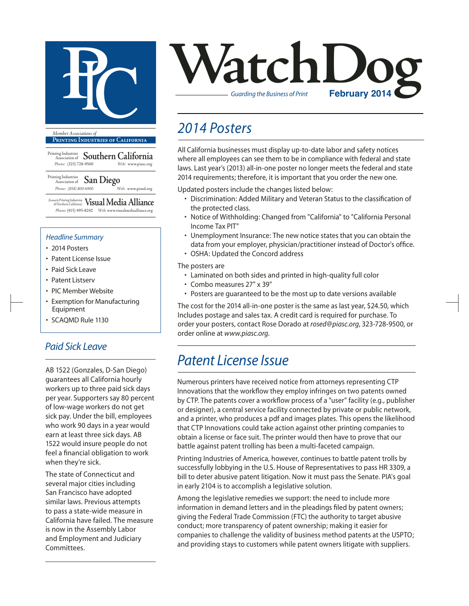

**Printing Industries of California**

Printing Industries Association of **Southern California** *Phone:* (323) 728-9500 *Web:* www.piasc.org

Printing Industries Association of **San Diego** *Phone: (858) 800-6900 Web:* www.piasd.org

(formerly Printing Industries of Northern California) **Visual Media Alliance** *Phone:* (415) 495-8242 *Web:* www.visualmediaalliance.org

#### *Headline Summary*

- 2014 Posters
- Patent License Issue
- Paid Sick Leave
- Patent Listserv
- PIC Member Website
- Exemption for Manufacturing Equipment
- SCAQMD Rule 1130

#### *Paid Sick Leave*

AB 1522 (Gonzales, D-San Diego) guarantees all California hourly workers up to three paid sick days per year. Supporters say 80 percent of low-wage workers do not get sick pay. Under the bill, employees who work 90 days in a year would earn at least three sick days. AB 1522 would insure people do not feel a financial obligation to work when they're sick.

The state of Connecticut and several major cities including San Francisco have adopted similar laws. Previous attempts to pass a state-wide measure in California have failed. The measure is now in the Assembly Labor and Employment and Judiciary Committees.



## *2014 Posters*

All California businesses must display up-to-date labor and safety notices where all employees can see them to be in compliance with federal and state laws. Last year's (2013) all-in-one poster no longer meets the federal and state 2014 requirements; therefore, it is important that you order the new one.

Updated posters include the changes listed below:

- Discrimination: Added Military and Veteran Status to the classification of the protected class.
- Notice of Withholding: Changed from "California" to "California Personal Income Tax PIT"
- Unemployment Insurance: The new notice states that you can obtain the data from your employer, physician/practitioner instead of Doctor's office. • OSHA: Updated the Concord address

The posters are

- Laminated on both sides and printed in high-quality full color
- Combo measures 27" x 39"
- Posters are guaranteed to be the most up to date versions available

The cost for the 2014 all-in-one poster is the same as last year, \$24.50, which Includes postage and sales tax. A credit card is required for purchase. To order your posters, contact Rose Dorado at *rosed@piasc.org*, 323-728-9500, or order online at *www.piasc.org*.

### *Patent License Issue*

Numerous printers have received notice from attorneys representing CTP Innovations that the workflow they employ infringes on two patents owned by CTP. The patents cover a workflow process of a "user" facility (e.g., publisher or designer), a central service facility connected by private or public network, and a printer, who produces a pdf and images plates. This opens the likelihood that CTP Innovations could take action against other printing companies to obtain a license or face suit. The printer would then have to prove that our battle against patent trolling has been a multi-faceted campaign.

Printing Industries of America, however, continues to battle patent trolls by successfully lobbying in the U.S. House of Representatives to pass HR 3309, a bill to deter abusive patent litigation. Now it must pass the Senate. PIA's goal in early 2104 is to accomplish a legislative solution.

Among the legislative remedies we support: the need to include more information in demand letters and in the pleadings filed by patent owners; giving the Federal Trade Commission (FTC) the authority to target abusive conduct; more transparency of patent ownership; making it easier for companies to challenge the validity of business method patents at the USPTO; and providing stays to customers while patent owners litigate with suppliers.